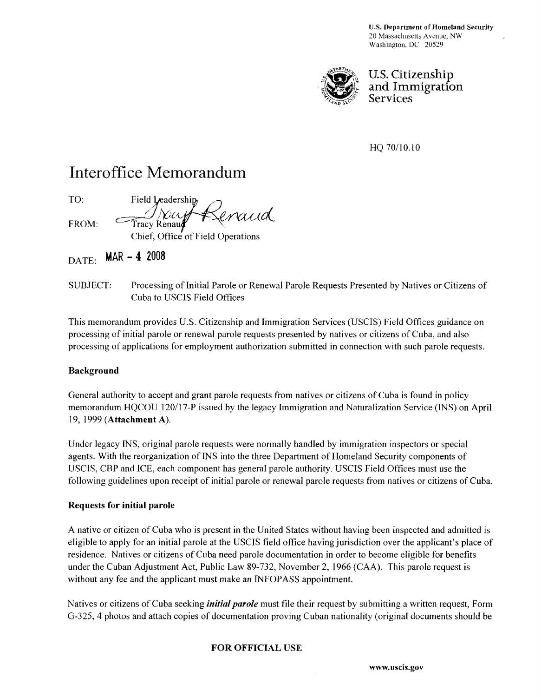U.S. Department of Homeland Security 20 Massachusetts Avenue. NW Washington, DC 20529



U. S. Citizenship and Immigration Services

HQ 70/10.10

## Interoffice Memorandum

TO: Field Leadership enaud FROM: Tracy Renaud Chief, Office of Field Operations

 $_{\text{DATE:}}$  MAR - 4 2008

SUBJECT: Processing of Initial Parole or Renewal Parole Requests Presented by Natives or Citizens of Cuba to USCIS Field Offices

This memorandum provides U.S. Citizenship and Immigration Services (USCIS) Field Offices guidance on processing of initial parole or renewal parole requests presented by natives or citizens of Cuba, and also processing of applications for employment authorization submitted in connection with such parole requests.

#### Background

General authority to accept and grant parole requests from natives or citizens of Cuba is found in policy memorandum HQCOU 120/17-P issued by the legacy Immigration and Naturalization Service (INS) on April 19, 1999 (Attachment A).

Under legacy INS, original parole requests were normally handled by immigration inspectors or special agents. With the reorganization of INS into the three Department of Homeland Security components of USCIS, CBP and ICE, each component has general parole authority. USCIS Field Offices must use the following guidelines upon receipt of initial parole or renewal parole requests from natives or citizens of Cuba.

#### Requests for initial parole

A native or citizen of Cuba who is present in the United States without having been inspected and admitted is eligible to apply for an initial parole at the USCIS field office having jurisdiction over the applicant's place of residence. Natives or citizens of Cuba need parole documentation in order to become eligible for benefits under the Cuban Adjustment Act, Public Law 89-732, November 2, 1966 (CAA). This parole request is without any fee and the applicant must make an INFOPASS appointment.

Natives or citizens of Cuba seeking *initial parole* must file their request by submitting a written request, Form G-325, 4 photos and attach copies of documentation proving Cuban nationality (original documents should be

## FOR OFFICIAL USE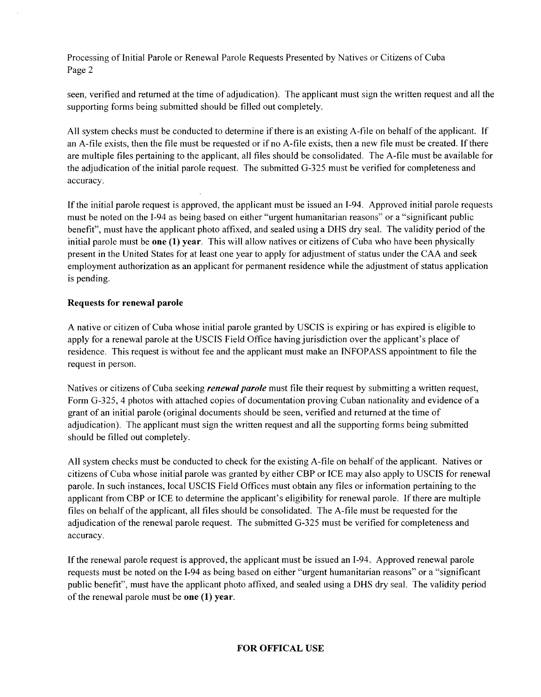Processing of Initial Parole or Renewal Parole Requests Presented by Natives or Citizens of Cuba Page 2

seen, verified and returned at the time of adjudication). The applicant must sign the written request and all the supporting forms being submitted should be filled out completely.

All system checks must be conducted to determine if there is an existing A-file on behalf of the applicant. If an A-file exists, then the file must be requested or if no A-file exists, then a new file must be created. If there are multiple files pertaining to the applicant, all files should be consolidated. The A-file must be available for the adjudication of the initial parole request. The submitted G-325 must be verified for completeness and accuracy.

If the initial parole request is approved, the applicant must be issued an 1-94. Approved initial parole requests must be noted on the 1-94 as being based on either "urgent humanitarian reasons" or a "significant public benefit", must have the applicant photo affixed, and sealed using a DHS dry seal. The validity period of the initial parole must be one (1) year. This will allow natives or citizens of Cuba who have been physically present in the United States for at least one year to apply for adjustment of status under the CAA and seek employment authorization as an applicant for permanent residence while the adjustment of status application is pending.

#### Requests for renewal parole

A native or citizen of Cuba whose initial parole granted by USCIS is expiring or has expired is eligible to apply for a renewal parole at the USCIS Field Office having jurisdiction over the applicant's place of residence. This request is without fee and the applicant must make an INFOPASS appointment to file the request in person.

Natives or citizens of Cuba seeking *renewal parole* must file their request by submitting a written request, Form G-325, 4 photos with attached copies of documentation proving Cuban nationality and evidence of a grant of an initial parole (original documents should be seen, verified and returned at the time of adjudication). The applicant must sign the written request and all the supporting forms being submitted should be filled out completely.

All system checks must be conducted to check for the existing A-file on behalf of the applicant. Natives or citizens of Cuba whose initial parole was granted by either CBP or ICE may also apply to USCIS for renewal parole. In such instances, local USCIS Field Offices must obtain any files or information pertaining to the applicant from CBP or ICE to determine the applicant's eligibility for renewal parole. If there are multiple files on behalf of the applicant, all files should be consolidated. The A-file must be requested for the adjudication of the renewal parole request. The submitted G-325 must be verified for completeness and accuracy.

If the renewal parole request is approved, the applicant must be issued an 1-94. Approved renewal parole requests must be noted on the 1-94 as being based on either "urgent humanitarian reasons" or a "significant public benefit", must have the applicant photo affixed, and sealed using a DHS dry seal. The validity period of the renewal parole must be one (1) year.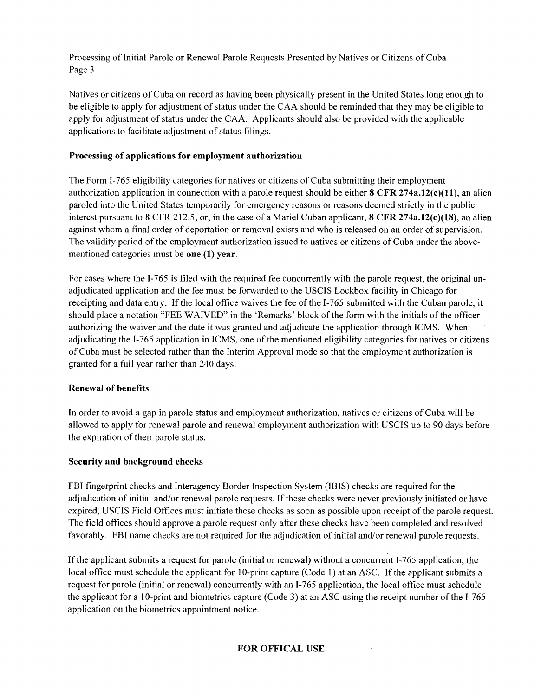Processing of Initial Parole or Renewal Parole Requests Presented by Natives or Citizens of Cuba Page 3

Natives or citizens of Cuba on record as having been physically present in the United States long enough to be eligible to apply for adjustment of status under the CAA should be reminded that they may be eligible to apply for adjustment of status under the CAA. Applicants should also be provided with the applicable applications to facilitate adjustment of status filings.

#### Processing of applications for employment authorization

The Form 1-765 eligibility categories for natives or citizens of Cuba submitting their employment authorization application in connection with a parole request should be either  $8$  CFR 274a.12(c)(11), an alien paroled into the United States temporarily for emergency reasons or reasons deemed strictly in the public interest pursuant to 8 CFR 212.5, or, in the case of a Mariel Cuban applicant, 8 CFR 274a.12(c)(18), an alien against whom a final order of deportation or removal exists and who is released on an order of supervision. The validity period of the employment authorization issued to natives or citizens of Cuba under the abovementioned categories must be one (I) year.

For cases where the 1-765 is filed with the required fee concurrently with the parole request, the original unadjudicated application and the fee must be forwarded to the USCIS Lockbox facility in Chicago for receipting and data entry. If the local office waives the fee of the 1-765 submitted with the Cuban parole, it should place a notation "FEE WAIVED" in the' Remarks' block of the form with the initials of the officer authorizing the waiver and the date it was granted and adjudicate the application through ICMS. When adjudicating the I-765 application in ICMS, one of the mentioned eligibility categories for natives or citizens of Cuba must be selected rather than the Interim Approval mode so that the employment authorization is granted for a full year rather than 240 days.

#### Renewal of benefits

In order to avoid a gap in parole status and employment authorization, natives or citizens of Cuba will be allowed to apply for renewal parole and renewal employment authorization with USCIS up to 90 days before the expiration of their parole status.

#### Security and background checks

FBI fingerprint checks and Interagency Border Inspection System (IBIS) checks are required for the adjudication of initial and/or renewal parole requests. If these checks were never previously initiated or have expired, USCIS Field Offices must initiate these checks as soon as possible upon receipt of the parole request. The field offices should approve a parole request only after these checks have been completed and resolved favorably. FBI name checks are not required for the adjudication of initial and/or renewal parole requests.

If the applicant submits a request for parole (initial or renewal) without a concurrent 1-765 application, the local office must schedule the applicant for 10-print capture (Code 1) at an ASC. If the applicant submits a request for parole (initial or renewal) concurrently with an 1-765 application, the local office must schedule the applicant for a 1 O-print and biometrics capture (Code 3) at an ASC using the receipt number of the 1-765 application on the biometrics appointment notice.

#### FOR OFFICAL USE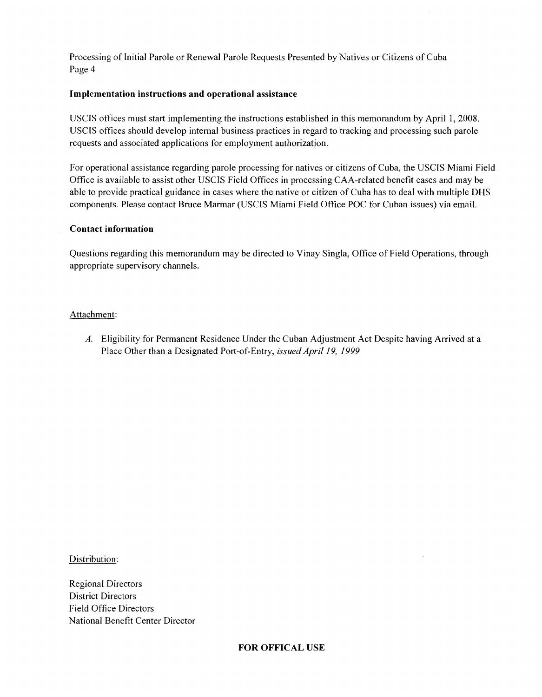Processing of Initial Parole or Renewal Parole Requests Presented by Natives or Citizens of Cuba Page 4

#### Implementation instructions and operational assistance

USCIS offices must start implementing the instructions established in this memorandum by April 1, 2008. USCIS offices should develop internal business practices in regard to tracking and processing such parole requests and associated applications for employment authorization.

For operational assistance regarding parole processing for natives or citizens of Cuba, the USCIS Miami Field Office is available to assist other USCIS Field Offices in processing CAA-related benefit cases and may be able to provide practical guidance in cases where the native or citizen of Cuba has to deal with multiple DHS components. Please contact Bruce Marmar (USCIS Miami Field Office POC for Cuban issues) via email.

#### Contact information

Questions regarding this memorandum may be directed to Vinay Singla, Office of Field Operations, through appropriate supervisory channels.

#### Attachment:

A. Eligibility for Permanent Residence Under the Cuban Adjustment Act Despite having Arrived at a Place Other than a Designated Port-of-Entry, *issued April* 19, 1999

Distribution:

Regional Directors District Directors Field Office Directors National Benefit Center Director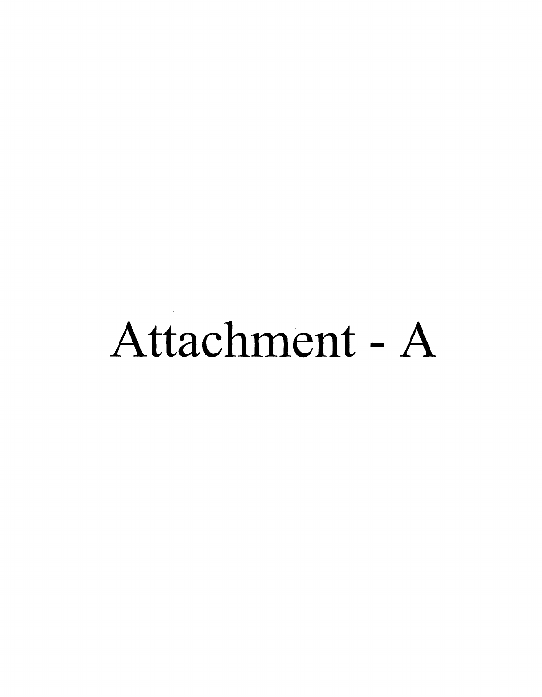# Attachment - A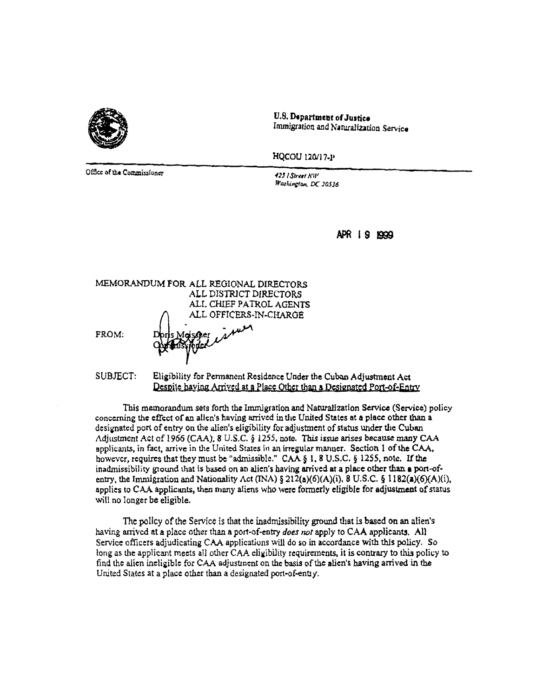

U.S. Department of Justice Immigration and Naturalization Service

HQCOU 120/17-P

Office of the Commissioner

423 I Street NW Washington, DC 20536

APR 19 1999

MEMORANDUM FOR ALL REGIONAL DIRECTORS ALL DISTRICT DIRECTORS ALI. CHIEF PATROL AGENTS ALL OFFICERS-IN-CHARGE

FROM:

SUBJECT: Eligibility for Permanent Residence Under the Cuban Adjustment Act Despite having Arrived at a Place Other than a Designated Port-of-Entry

This memorandum sets forth the Immigration and Naturalization Service (Service) policy concerning the effect of an alien's having arrived in the United States at a place other than a designated port of entry on the alien's eligibility for adjustment of status under the Cuban Adjustment Act of 1966 (CAA), 8 U.S.C. § 1255, note. This issue arises because many CAA applicants, in fact, arrive in the United States in an irregular manner. Section 1 of the CAA, however, requires that they must be "admissible." CAA § 1, 8 U.S.C. § 1255, note. If the inadmissibility ground that is based on an alien's having arrived at a place other than a port-ofentry, the Immigration and Nationality Act (INA)  $\S 212(a)(6)(A)(i)$ , 8 U.S.C.  $\S 1182(a)(6)(A)(i)$ , applies to CAA applicants, then many aliens who were formerly eligible for adjustment of status will no longer be eligible.

The policy of the Service is that the inadmissibility ground that is based on an alien's having arrived at a place other than a port-of-entry does not apply to CAA applicants. All Service officers adjudicating CAA applications will do so in accordance with this policy. So long as the applicant meets all other CAA eligibility requirements, it is contrary to this policy to find the alien ineligible for CAA adjustment on the basis of the alien's having arrived in the United States at a place other than a designated port-of-entry.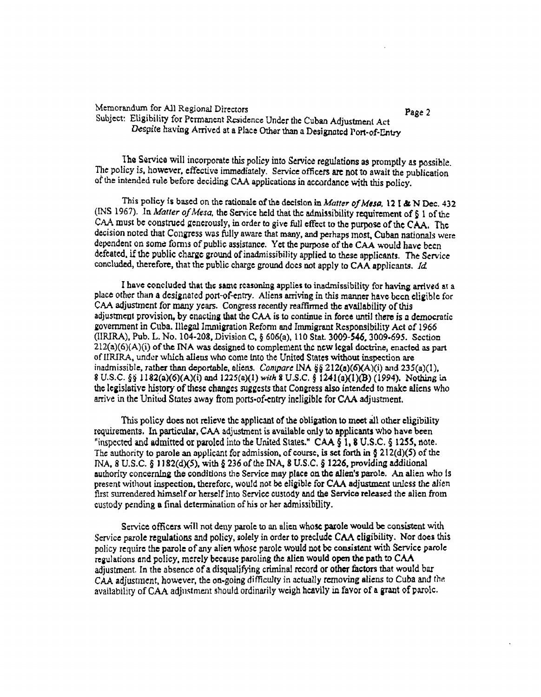#### Memorandum for All Regional Directors Subject: Eligibility for Permanent Residence Under the Cuban Adjustment Act Despite having Arrived at a Place Other than a Designated Port-of-Entry

Page 2

The Service will incorporate this policy into Service regulations as promptly as possible. The policy is, however, effective immediately. Service officers are not to await the publication of the intended rule before deciding CAA applications in accordance with this policy.

This policy is based on the rationale of the decision in Matter of Mesa, 12 I & N Dec. 432 (INS 1967). In Matter of Mesa, the Service held that the admissibility requirement of  $\S 1$  of the CAA must be construed generously, in order to give full effect to the purpose of the CAA. The decision noted that Congress was fully aware that many, and perhaps most. Cuban nationals were dependent on some forms of public assistance. Yet the purpose of the CAA would have been defeated, if the public charge ground of inadmissibility applied to these applicants. The Service concluded, therefore, that the public charge ground does not apply to CAA applicants. Id.

I have concluded that the same reasoning applies to inadmissibility for having arrived at a place other than a designated port-of-entry. Aliens arriving in this manner have been eligible for CAA adjustment for many years. Congress recently reaffirmed the availability of this adjustment provision, by enacting that the CAA is to continue in force until there is a democratic government in Cuba. Illegal Immigration Reform and Immigrant Responsibility Act of 1966 (IIRIRA), Pub. L. No. 104-208, Division C, § 606(a), 110 Stat. 3009-546, 3009-695. Section  $212(a)(6)(A)(i)$  of the INA was designed to complement the new legal doctrine, enacted as part of IIRIRA, under which allens who come into the United States without inspection are inadmissible, rather than deportable, aliens. Compare INA §§ 212(a)(6)(A)(i) and 235(a)(1),  $(3 \text{ U.S.C.} \S_2)$  1182(a)(6)(A)(i) and 1225(a)(1) with 8 U.S.C.  $\S$  1241(a)(1)(B) (1994). Nothing in the legislative history of these changes suggests that Congress also intended to make aliens who arrive in the United States away from ports-of-entry incligible for CAA adjustment.

This policy does not relieve the applicant of the obligation to meet all other eligibility requirements. In particular, CAA adjustment is available only to applicants who have been "inspected and admitted or paroled into the United States." CAA § 1, 8 U.S.C. § 1255, note. The authority to parole an applicant for admission, of course, is set forth in § 212(d)(5) of the INA, 8 U.S.C. § 1182(d)(5), with § 236 of the INA, 8 U.S.C. § 1226, providing additional authority concerning the conditions the Service may place on the allen's parole. An allen who is present without inspection, therefore, would not be eligible for CAA adjustment unless the alien first surrendered himself or herself into Service custody and the Service released the alien from custody pending a final determination of his or her admissibility.

Service officers will not deny parole to an alien whose parole would be consistent with Service parole regulations and policy, solely in order to preclude CAA eligibility. Nor does this policy require the parole of any alien whose parole would not be consistent with Service parole regulations and policy, merely because paroling the alien would open the path to CAA adjustment. In the absence of a disqualifying criminal record or other factors that would bar CAA adjustment, however, the on-going difficulty in actually removing aliens to Cuba and the availability of CAA adjustment should ordinarily weigh heavily in favor of a grant of parole.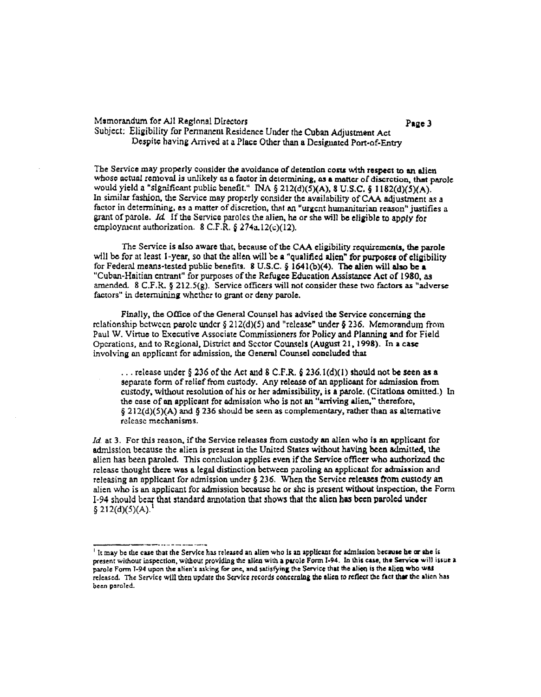#### Memorandum for All Regional Directors

Page 3

Subject: Eligibility for Permanent Residence Under the Cuban Adjustment Act Despite having Arrived at a Place Other than a Designated Port-of-Entry

The Service may properly consider the avoidance of detention costs with respect to an alien whose actual removal is unlikely as a factor in determining, as a matter of discretion, that parole would yield a "significant public benefit." INA § 212(d)(5)(A), 8 U.S.C. § 1182(d)(5)(A). In similar fashion, the Service may properly consider the availability of CAA adjustment as a factor in determining, as a matter of discretion, that an "urgent humanitarian reason" justifies a grant of parole. Id If the Service paroles the alien, he or she will be eligible to apply for employment authorization. 8 C.F.R. § 274a,  $12(c)(12)$ .

The Service is also aware that, because of the CAA eligibility requirements, the parole will be for at least 1-year, so that the allen will be a "qualified alien" for purposes of eligibility for Federal means-tested public benefits. 8 U.S.C. § 1641(b)(4). The alien will also be a "Cuban-Haitian entrant" for purposes of the Refugee Education Assistance Act of 1980, as armnded. 8 C.F.R. § 212.5(g). Service officers will not consider these two factors as "adverse factors" in determining whether to grant or deny parole.

Finally, the Office of the General Counsel has advised the Service concerning the relationship between parole under  $\S 212(d)(5)$  and "release" under § 236. Memorandum from Paul W. Virtue to Executive Associate Commissioners for Policy and Planning and for Field Operations, and to Regional, District and Sector Counsels (August 21, 1998). In a case involving an applicant for admission, the General Counsel concluded that

... release under § 236 of the Act and 8 C.F.R. § 236.1(d)(1) should not be seen as a separate form of relief from custody. Any release of an applicant for admission from custody, without resolution of his or her admissibility, is a parole. (Citations omitted.) In the case of an applicant for admission who is not an "arriving alien," therefore,  $\S 212(d)(5)(A)$  and § 236 should be seen as complementary, rather than as alternative release mechanisms.

Id. at 3. For this reason, if the Service releases from custody an alien who is an applicant for admission because the alien is present in the United States without having been admitted, the alien has been paroled. This conclusion applies even if the Service officer who authorized the release thought there was a legal distinction between paroling an applicant for admission and releasing an applicant for admission under § 236. When the Service releases from custody an alien who is an applicant for admission because he or she is present without inspection, the Form I-94 should bear that standard annotation that shows that the alien has been paroled under  $\S 212(d)(5)(A).<sup>1</sup>$ 

If may be the case that the Service has released an alien who is an applicant for admission because he or she is present without inspection, without providing the alien with a parole Form I-94. In this case, the Service will issue a parole Form I-94 upon the alien's asking for one, and satisfying the Service that the alien is the alien who was released. The Service will then update the Service records concerning the alien to reflect the fact that the alien has been paroled.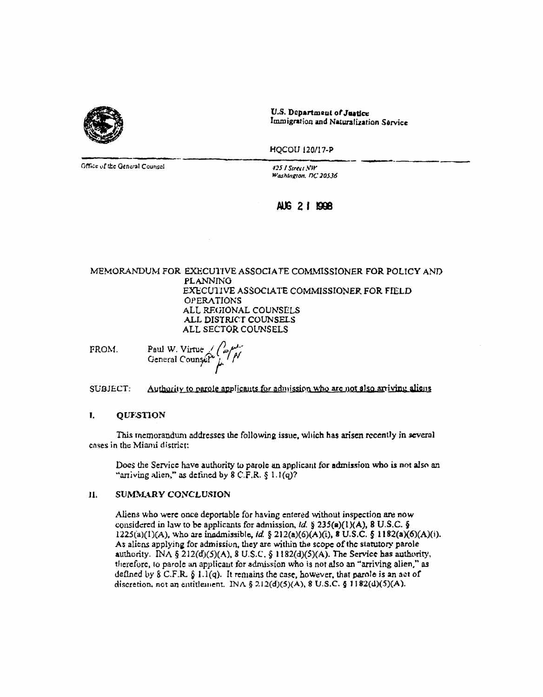

U.S. Department of Justice Immigration and Naturalization Service

HOCOU 120/17-P

Office of the General Counsel

425 I Street NW Washington, DC 20536

### AUG 21 1998

#### MEMORANDUM FOR EXECUTIVE ASSOCIATE COMMISSIONER FOR POLICY AND **PLANNING** EXECUTIVE ASSOCIATE COMMISSIONER FOR FIELD **OPERATIONS** ALL REGIONAL COUNSELS ALL DISTRICT COUNSELS ALL SECTOR COUNSELS

Paul W. Virtue  $\swarrow$  ( FROM. General Counsel

**SUBJECT:** Authority to parole applicants for admission who are not also arriving aliens

#### L. **QUESTION**

This memorandum addresses the following issue, which has arisen recently in several cases in the Miami district:

Does the Service have authority to parole an applicant for admission who is not also an "arriving alien," as defined by  $8 \text{ C.F.R.}$   $$1.1(q)$ ?

#### SUMMARY CONCLUSION 11.

Aliens who were once deportable for having entered without inspection are now considered in law to be applicants for admission,  $ld$ . § 235(a)(1)(A), 8 U.S.C. § 1225(a)(1)(A), who are inadmissible, id. § 212(a)(6)(A)(i), 8 U.S.C. § 1182(a)(6)(A)(i). As aliens applying for admission, they are within the scope of the statutory parole authority. INA § 212(d)(5)(A), 8 U.S.C. § 1182(d)(5)(A). The Service has authority, therefore, to parole an applicant for admission who is not also an "arriving alien," as defined by  $\S$  C.F.R.  $\S$  1.1(q). It remains the case, however, that parole is an act of discretion, not an entitlement. INA § 2.12(d)(5)(A), 8 U.S.C. § 1182(d)(5)(A).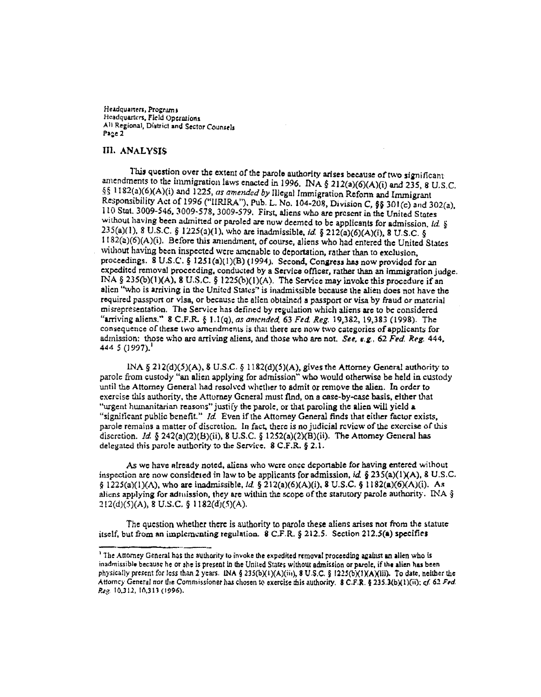Headquarters, Programs Headquarters, Field Operations All Regional, District and Sector Counsels Page 2

#### **III. ANALYSIS**

This question over the extent of the parole authority arises because of two significant amendments to the immigration laws enacted in 1996. INA § 212(a)(6)(A)(i) and 235, 8 U.S.C. §§ 1182(a)(6)(A)(i) and 1225, as amended by Illegal Immigration Reform and Immigrant Responsibility Act of 1996 ("IIRIRA"), Pub. L. No. 104-208, Division C, §§ 301(c) and 302(a), 110 Stat. 3009-546, 3009-578, 3009-579. First, aliens who are present in the United States without having been admitted or paroled are now deemed to be applicants for admission,  $ld.$  § 235(a)(1), 8 U.S.C. § 1225(a)(1), who are inadmissible, id. § 212(a)(6)(A)(i), 8 U.S.C. § 1182(a)(6)(A)(i). Before this aniendment, of course, aliens who had entered the United States without having been inspected were amenable to deportation, rather than to exclusion. proceedings. 8 U.S.C. § 1251(a)(1)(B) (1994). Second, Congress has now provided for an expedited removal proceeding, conducted by a Service officer, rather than an immigration judge. INA § 235(b)(1)(A), 8 U.S.C. § 1225(b)(1)(A). The Service may invoke this procedure if an alien "who is arriving in the United States" is inadmissible because the alien does not have the required passport or visa, or because the alien obtained a passport or visa by fraud or material misrepresentation. The Service has defined by regulation which aliens are to be considered "arriving aliens." 8 C.F.R. § 1.1(q), as amended, 63 Fed. Reg. 19,382, 19,383 (1998). The consequence of these two amendments is that there are now two categories of applicants for admission: those who are arriving aliens, and those who are not. See, e.g., 62 Fed. Reg. 444, 444 5 (1997).<sup>1</sup>

INA § 212(d)(5)(A), 8 U.S.C. § 1182(d)(5)(A), gives the Attorney General authority to parole from custody "an alien applying for admission" who would otherwise be held in custody until the Attorney General had resolved whether to admit or remove the alien. In order to exercise this authority, the Attorney General must find, on a case-by-case basis, either that "urgent humanitarian reasons" justify the parole, or that paroling the alien will yield a "significant public benefit." Id. Even if the Attorney General finds that either factor exists, parole remains a matter of discretion. In fact, there is no judicial review of the exercise of this discretion. Id. § 242(a)(2)(B)(ii), 8 U.S.C. § 1252(a)(2)(B)(ii). The Attomey General has delegated this parole authority to the Service.  $8$  C.F.R.  $§$  2.1.

As we have already noted, aliens who were once deportable for having entered without inspection are now considered in law to be applicants for admission, id. § 235(a)(1)(A), 8 U.S.C.  $\S 1225(a)(1)(\Lambda)$ , who are inadmissible, *ld.* § 212(a)(6)(A)(i), 8 U.S.C. § 1182(a)(6)(A)(i). As aliens applying for admission, they are within the scope of the statutory parole authority. INA  $\S$  $212(d)(5)(A)$ , 8 U.S.C. § 1182(d)(5)(A).

The question whether there is authority to parole these aliens arises not from the statute itself, but from an implementing regulation. 8 C.F.R. § 212.5. Section 212.5(a) specifies

<sup>&</sup>lt;sup>1</sup> The Attorney General has the authority to invoke the expedited removal proceeding against an allen who is inadmissible because he or she is present in the United States without admission or parole, if the alien has been physically present for less than 2 years. INA § 235(b)(1)(A)(iii), 8 U.S.C. § 1225(b)(1)(A)(iii). To date, neither the Attomey General nor the Commissioner has chosen to exercise this authority. 8 C.F.R. § 235.3(b)(1)(ii); cf. 62 Fed. Reg. 10.312, 10.313 (1996).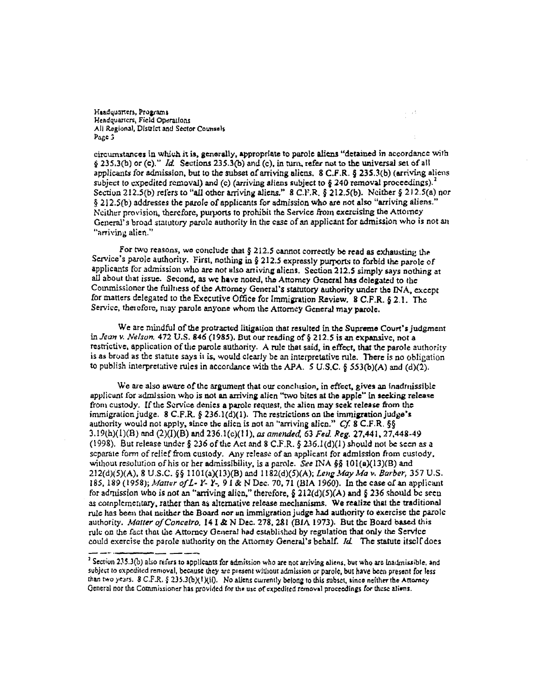Haadquarters, Programs Hendquarters, Field Operations All Regional, District and Sector Counsels Page 3

circumstances in which it is, generally, appropriate to parole aliens "detained in accordance with § 235.3(b) or (c)." Id. Sections 235.3(b) and (c), in turn, refer not to the universal set of all applicants for admission, but to the subset of arriving aliens,  $8 \text{ C.F.R.}$   $\S$  235.3(b) (arriving aliens subject to expedited removal) and (c) (arriving aliens subject to § 240 removal proceedings).<sup>2</sup> Section 212.5(b) refers to "all other arriving aliens." 8 C.F.R. § 212.5(b). Neither § 212.5(a) nor § 212.5(b) addresses the parole of applicants for admission who are not also "arriving aliens." Neither provision, therefore, purports to prohibit the Service from exercising the Attomey General's broad statutory parole authority in the case of an applicant for admission who is not an "arriving alien."

For two reasons, we conclude that  $\S 212.5$  cannot correctly be read as exhausting the Service's parole authority. First, nothing in § 212.5 expressly purports to forbid the parole of applicants for admission who are not also arriving aliens. Section 212.5 simply says nothing at all about that issue. Second, as we have noted, the Attomey General has delegated to the Commissioner the fullness of the Attorney General's statutory authority under the INA, except for matters delegated to the Executive Office for Immigration Review. 8 C.F.R. § 2.1. The Service, therefore, may parole anyone whom the Attorney General may parole.

We are mindful of the protracted litigation that resulted in the Supreme Court's judgment in Jean v. Nelson, 472 U.S. 846 (1985). But our reading of § 212.5 is an expansive, not a restrictive, application of the parole authority. A rule that said, in effect, that the parole authority is as broad as the statute says it is, would clearly be an interpretative rule. There is no obligation to publish interpretative rules in accordance with the APA. 5 U.S.C. § 553(b)(A) and (d)(2).

We are also aware of the argument that our conclusion, in effect, gives an inadmissible applicant for admission who is not an arriving alien "two bites at the apple" in seeking release from custody. If the Service denies a parole request, the alien may seek release from the immigration judge. 8 C.F.R.  $\S$  236.1(d)(1). The restrictions on the immigration judge's authority would not apply, since the alien is not an "arriving alien."  $Cf$ . 8 C.F.R. §§  $3.19(h)(1)(B)$  and  $(2)(I)(B)$  and  $236.1(c)(11)$ , as amended, 63 Fed. Reg. 27,441, 27,448-49 (1998). But release under § 236 of the Act and 8 C.F.R. § 236.1(d)(1) should not be seen as a separate form of relief from custody. Any release of an applicant for admission from custody, without resolution of his or her admissibility, is a parole. See INA §§ 101(a)(13)(B) and 212(d)(5)(A), 8 U.S.C. §§ 1101(a)(13)(B) and 1182(d)(5)(A); Leng May Ma v. Barber, 357 U.S. 185, 189 (1958); Matter of L- Y- Y-, 9 I & N Dec. 70, 71 (BIA 1960). In the case of an applicant for admission who is not an "arriving alien," therefore,  $\frac{6}{2}$  212(d)(5)(A) and  $\frac{6}{2}$  236 should be seen as complementary, rather than as alternative release mechanisms. We realize that the traditional rule has been that neither the Board nor an immigration judge had authority to exercise the parole authority. Matter of Conceiro, 14 I & N Dec. 278, 281 (BIA 1973). But the Board based this rule on the fact that the Attorney General had established by regulation that only the Service could exercise the parole authority on the Attorney General's behalf. Id. The statute itself does

 $\zeta=\pm 1$ 

<sup>&</sup>lt;sup>2</sup> Section 235.3(b) also refers to applicants for admission who are not arriving aliens, but who are inadmissible, and subject to expedited removal, because they are present without admission or parole, but have been present for less than two years. 8 C.F.R. § 235.3(b)(1)(ii). No aliens currently belong to this subset, since neither the Attorney General nor the Commissioner has provided for the use of expedited removal proceedings for these aliens.